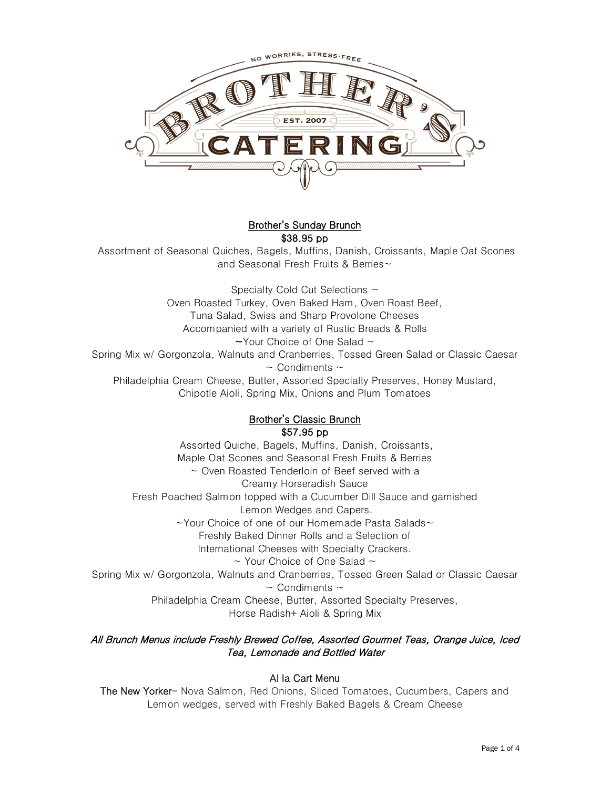

## Brother's Sunday Brunch \$38.95 pp

Assortment of Seasonal Quiches, Bagels, Muffins, Danish, Croissants, Maple Oat Scones and Seasonal Fresh Fruits & Berries~

Specialty Cold Cut Selections ~ Oven Roasted Turkey, Oven Baked Ham, Oven Roast Beef, Tuna Salad, Swiss and Sharp Provolone Cheeses Accompanied with a variety of Rustic Breads & Rolls  $\sim$ Your Choice of One Salad  $\sim$ Spring Mix w/ Gorgonzola, Walnuts and Cranberries, Tossed Green Salad or Classic Caesar  $\sim$  Condiments  $\sim$ Philadelphia Cream Cheese, Butter, Assorted Specialty Preserves, Honey Mustard, Chipotle Aioli, Spring Mix, Onions and Plum Tomatoes

## Brother's Classic Brunch \$57.95 pp

Assorted Quiche, Bagels, Muffins, Danish, Croissants, Maple Oat Scones and Seasonal Fresh Fruits & Berries ~ Oven Roasted Tenderloin of Beef served with a Creamy Horseradish Sauce Fresh Poached Salmon topped with a Cucumber Dill Sauce and garnished Lemon Wedges and Capers. ~Your Choice of one of our Homemade Pasta Salads~ Freshly Baked Dinner Rolls and a Selection of International Cheeses with Specialty Crackers.  $\sim$  Your Choice of One Salad  $\sim$ Spring Mix w/ Gorgonzola, Walnuts and Cranberries, Tossed Green Salad or Classic Caesar  $\sim$  Condiments  $\sim$ Philadelphia Cream Cheese, Butter, Assorted Specialty Preserves, Horse Radish+ Aioli & Spring Mix

## All Brunch Menus include Freshly Brewed Coffee, Assorted Gourmet Teas, Orange Juice, Iced Tea, Lemonade and Bottled Water

## Al la Cart Menu

The New Yorker- Nova Salmon, Red Onions, Sliced Tomatoes, Cucumbers, Capers and Lemon wedges, served with Freshly Baked Bagels & Cream Cheese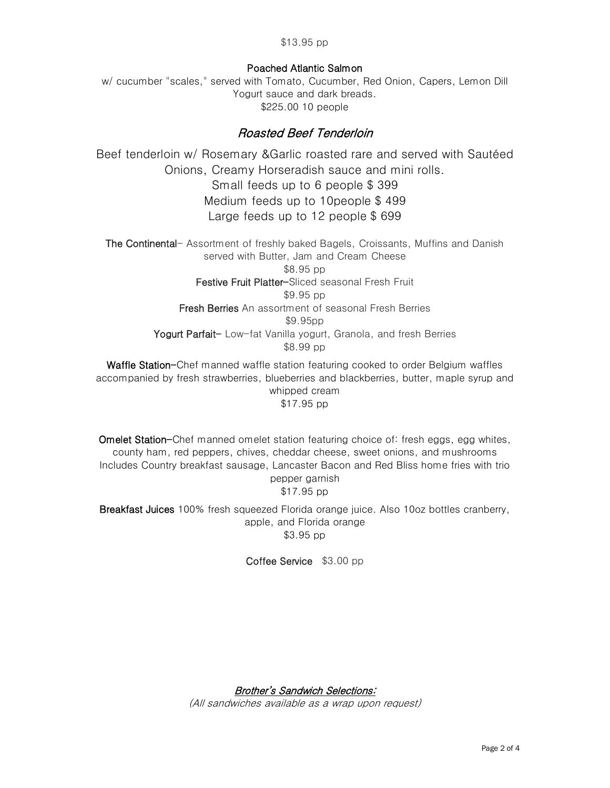### Poached Atlantic Salmon

w/ cucumber "scales," served with Tomato, Cucumber, Red Onion, Capers, Lemon Dill Yogurt sauce and dark breads. \$225.00 10 people

# Roasted Beef Tenderloin

Beef tenderloin w/ Rosemary &Garlic roasted rare and served with Sautéed Onions, Creamy Horseradish sauce and mini rolls. Small feeds up to 6 people \$ 399 Medium feeds up to 10people \$ 499 Large feeds up to 12 people \$ 699

The Continental- Assortment of freshly baked Bagels, Croissants, Muffins and Danish served with Butter, Jam and Cream Cheese \$8.95 pp Festive Fruit Platter-Sliced seasonal Fresh Fruit \$9.95 pp Fresh Berries An assortment of seasonal Fresh Berries \$9.95pp Yogurt Parfait- Low-fat Vanilla yogurt, Granola, and fresh Berries \$8.99 pp

Waffle Station-Chef manned waffle station featuring cooked to order Belgium waffles accompanied by fresh strawberries, blueberries and blackberries, butter, maple syrup and whipped cream \$17.95 pp

Omelet Station-Chef manned omelet station featuring choice of: fresh eggs, egg whites, county ham, red peppers, chives, cheddar cheese, sweet onions, and mushrooms Includes Country breakfast sausage, Lancaster Bacon and Red Bliss home fries with trio pepper garnish \$17.95 pp

Breakfast Juices 100% fresh squeezed Florida orange juice. Also 10oz bottles cranberry, apple, and Florida orange \$3.95 pp

Coffee Service \$3.00 pp

Brother's Sandwich Selections:

(All sandwiches available as a wrap upon request)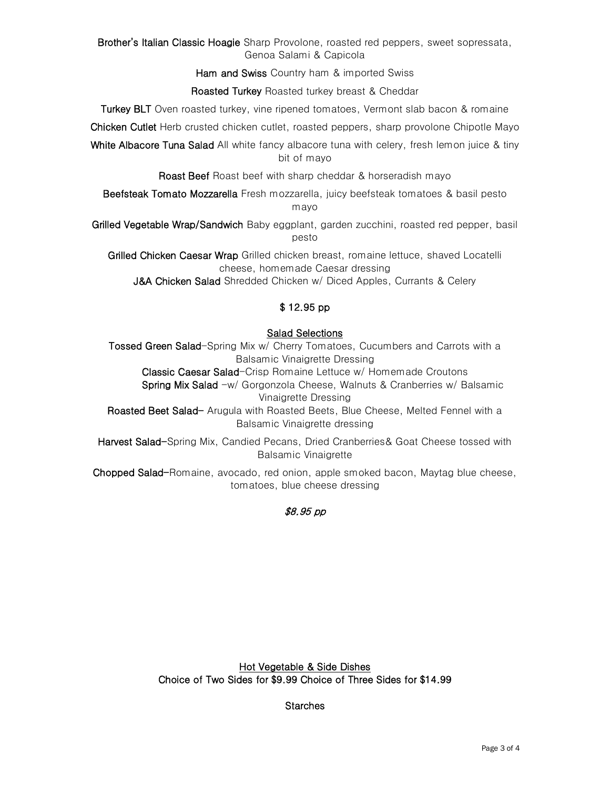Brother's Italian Classic Hoagie Sharp Provolone, roasted red peppers, sweet sopressata, Genoa Salami & Capicola

Ham and Swiss Country ham & imported Swiss

Roasted Turkey Roasted turkey breast & Cheddar

Turkey BLT Oven roasted turkey, vine ripened tomatoes, Vermont slab bacon & romaine

Chicken Cutlet Herb crusted chicken cutlet, roasted peppers, sharp provolone Chipotle Mayo

White Albacore Tuna Salad All white fancy albacore tuna with celery, fresh lemon juice & tiny bit of mayo

Roast Beef Roast beef with sharp cheddar & horseradish mayo

Beefsteak Tomato Mozzarella Fresh mozzarella, juicy beefsteak tomatoes & basil pesto mayo

Grilled Vegetable Wrap/Sandwich Baby eggplant, garden zucchini, roasted red pepper, basil pesto

Grilled Chicken Caesar Wrap Grilled chicken breast, romaine lettuce, shaved Locatelli cheese, homemade Caesar dressing

J&A Chicken Salad Shredded Chicken w/ Diced Apples, Currants & Celery

## \$ 12.95 pp

### Salad Selections

Tossed Green Salad-Spring Mix w/ Cherry Tomatoes, Cucumbers and Carrots with a Balsamic Vinaigrette Dressing

Classic Caesar Salad-Crisp Romaine Lettuce w/ Homemade Croutons

Spring Mix Salad -w/ Gorgonzola Cheese, Walnuts & Cranberries w/ Balsamic Vinaigrette Dressing

Roasted Beet Salad- Arugula with Roasted Beets, Blue Cheese, Melted Fennel with a Balsamic Vinaigrette dressing

Harvest Salad-Spring Mix, Candied Pecans, Dried Cranberries & Goat Cheese tossed with Balsamic Vinaigrette

Chopped Salad-Romaine, avocado, red onion, apple smoked bacon, Maytag blue cheese, tomatoes, blue cheese dressing

### \$8.95 pp

Hot Vegetable & Side Dishes Choice of Two Sides for \$9.99 Choice of Three Sides for \$14.99

**Starches**